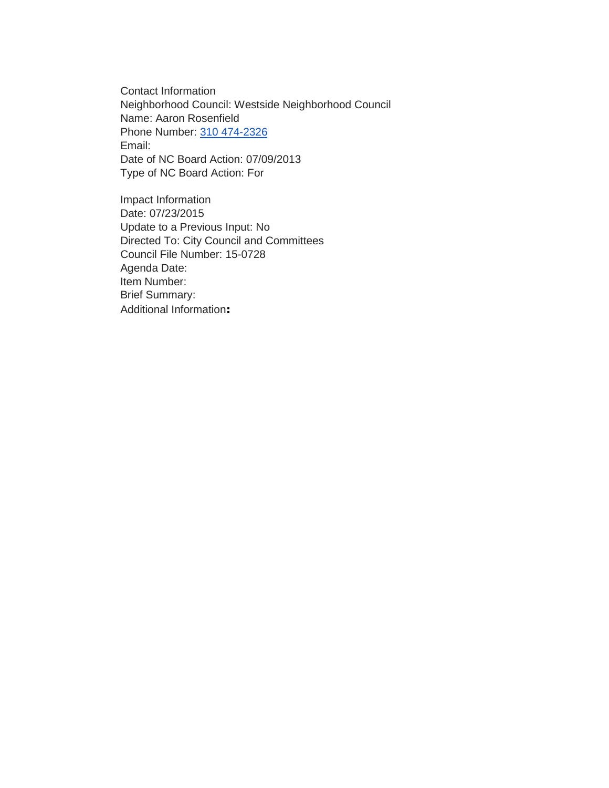Contact Information Neighborhood Council: Westside Neighborhood Council Name: Aaron Rosenfield Phone Number: [310 474-2326](tel:310%20474-2326) Email: Date of NC Board Action: 07/09/2013 Type of NC Board Action: For

Impact Information Date: 07/23/2015 Update to a Previous Input: No Directed To: City Council and Committees Council File Number: 15-0728 Agenda Date: Item Number: Brief Summary: Additional Information**:**